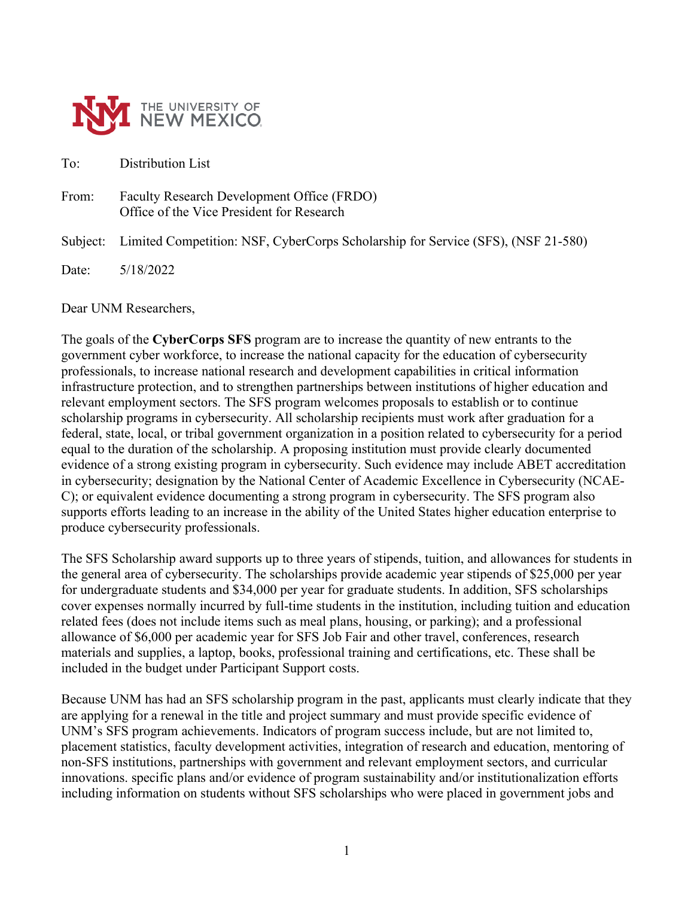

To: Distribution List

From: Faculty Research Development Office (FRDO) Office of the Vice President for Research

Subject: Limited Competition: NSF, CyberCorps Scholarship for Service (SFS), (NSF 21-580)

Date: 5/18/2022

Dear UNM Researchers,

The goals of the **CyberCorps SFS** program are to increase the quantity of new entrants to the government cyber workforce, to increase the national capacity for the education of cybersecurity professionals, to increase national research and development capabilities in critical information infrastructure protection, and to strengthen partnerships between institutions of higher education and relevant employment sectors. The SFS program welcomes proposals to establish or to continue scholarship programs in cybersecurity. All scholarship recipients must work after graduation for a federal, state, local, or tribal government organization in a position related to cybersecurity for a period equal to the duration of the scholarship. A proposing institution must provide clearly documented evidence of a strong existing program in cybersecurity. Such evidence may include ABET accreditation in cybersecurity; designation by the National Center of Academic Excellence in Cybersecurity (NCAE-C); or equivalent evidence documenting a strong program in cybersecurity. The SFS program also supports efforts leading to an increase in the ability of the United States higher education enterprise to produce cybersecurity professionals.

The SFS Scholarship award supports up to three years of stipends, tuition, and allowances for students in the general area of cybersecurity. The scholarships provide academic year stipends of \$25,000 per year for undergraduate students and \$34,000 per year for graduate students. In addition, SFS scholarships cover expenses normally incurred by full-time students in the institution, including tuition and education related fees (does not include items such as meal plans, housing, or parking); and a professional allowance of \$6,000 per academic year for SFS Job Fair and other travel, conferences, research materials and supplies, a laptop, books, professional training and certifications, etc. These shall be included in the budget under Participant Support costs.

Because UNM has had an SFS scholarship program in the past, applicants must clearly indicate that they are applying for a renewal in the title and project summary and must provide specific evidence of UNM's SFS program achievements. Indicators of program success include, but are not limited to, placement statistics, faculty development activities, integration of research and education, mentoring of non-SFS institutions, partnerships with government and relevant employment sectors, and curricular innovations. specific plans and/or evidence of program sustainability and/or institutionalization efforts including information on students without SFS scholarships who were placed in government jobs and